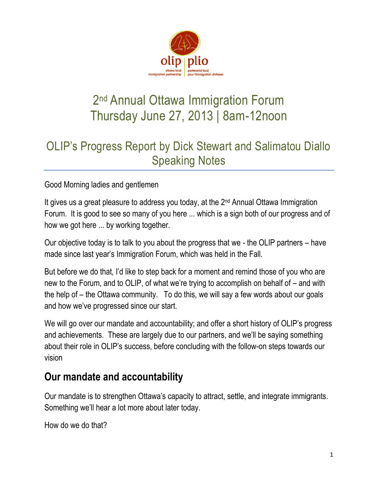

# 2<sup>nd</sup> Annual Ottawa Immigration Forum Thursday June 27, 2013 | 8am-12noon

## OLIP's Progress Report by Dick Stewart and Salimatou Diallo Speaking Notes

Good Morning ladies and gentlemen

It gives us a great pleasure to address you today, at the 2nd Annual Ottawa Immigration Forum. It is good to see so many of you here ... which is a sign both of our progress and of how we got here ... by working together.

Our objective today is to talk to you about the progress that we - the OLIP partners – have made since last year's Immigration Forum, which was held in the Fall.

But before we do that, I'd like to step back for a moment and remind those of you who are new to the Forum, and to OLIP, of what we're trying to accomplish on behalf of – and with the help of – the Ottawa community. To do this, we will say a few words about our goals and how we've progressed since our start.

We will go over our mandate and accountability; and offer a short history of OLIP's progress and achievements. These are largely due to our partners, and we'll be saying something about their role in OLIP's success, before concluding with the follow-on steps towards our vision

## **Our mandate and accountability**

Our mandate is to strengthen Ottawa's capacity to attract, settle, and integrate immigrants. Something we'll hear a lot more about later today.

How do we do that?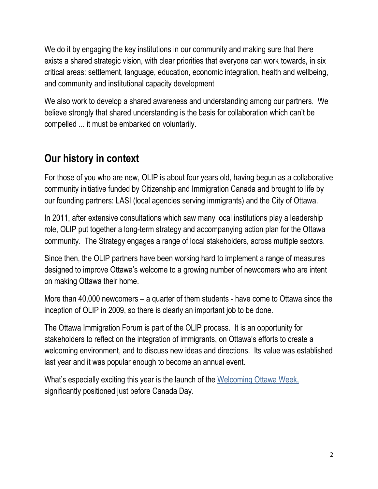We do it by engaging the key institutions in our community and making sure that there exists a shared strategic vision, with clear priorities that everyone can work towards, in six critical areas: settlement, language, education, economic integration, health and wellbeing, and community and institutional capacity development

We also work to develop a shared awareness and understanding among our partners. We believe strongly that shared understanding is the basis for collaboration which can't be compelled ... it must be embarked on voluntarily.

## **Our history in context**

For those of you who are new, OLIP is about four years old, having begun as a collaborative community initiative funded by Citizenship and Immigration Canada and brought to life by our founding partners: LASI (local agencies serving immigrants) and the City of Ottawa.

In 2011, after extensive consultations which saw many local institutions play a leadership role, OLIP put together a long-term strategy and accompanying action plan for the Ottawa community. The Strategy engages a range of local stakeholders, across multiple sectors.

Since then, the OLIP partners have been working hard to implement a range of measures designed to improve Ottawa's welcome to a growing number of newcomers who are intent on making Ottawa their home.

More than 40,000 newcomers – a quarter of them students - have come to Ottawa since the inception of OLIP in 2009, so there is clearly an important job to be done.

The Ottawa Immigration Forum is part of the OLIP process. It is an opportunity for stakeholders to reflect on the integration of immigrants, on Ottawa's efforts to create a welcoming environment, and to discuss new ideas and directions. Its value was established last year and it was popular enough to become an annual event.

What's especially exciting this year is the launch of the Welcoming Ottawa Week, significantly positioned just before Canada Day.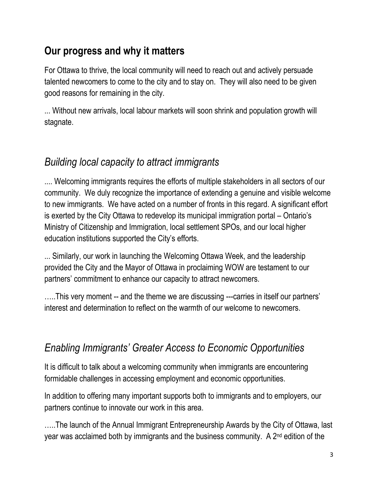## **Our progress and why it matters**

For Ottawa to thrive, the local community will need to reach out and actively persuade talented newcomers to come to the city and to stay on. They will also need to be given good reasons for remaining in the city.

... Without new arrivals, local labour markets will soon shrink and population growth will stagnate.

#### *Building local capacity to attract immigrants*

.... Welcoming immigrants requires the efforts of multiple stakeholders in all sectors of our community. We duly recognize the importance of extending a genuine and visible welcome to new immigrants. We have acted on a number of fronts in this regard. A significant effort is exerted by the City Ottawa to redevelop its municipal immigration portal – Ontario's Ministry of Citizenship and Immigration, local settlement SPOs, and our local higher education institutions supported the City's efforts.

... Similarly, our work in launching the Welcoming Ottawa Week, and the leadership provided the City and the Mayor of Ottawa in proclaiming WOW are testament to our partners' commitment to enhance our capacity to attract newcomers.

…..This very moment -- and the theme we are discussing ---carries in itself our partners' interest and determination to reflect on the warmth of our welcome to newcomers.

#### *Enabling Immigrants' Greater Access to Economic Opportunities*

It is difficult to talk about a welcoming community when immigrants are encountering formidable challenges in accessing employment and economic opportunities.

In addition to offering many important supports both to immigrants and to employers, our partners continue to innovate our work in this area.

…..The launch of the Annual Immigrant Entrepreneurship Awards by the City of Ottawa, last year was acclaimed both by immigrants and the business community. A 2nd edition of the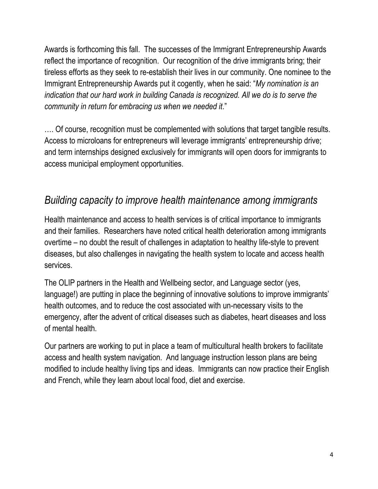Awards is forthcoming this fall. The successes of the Immigrant Entrepreneurship Awards reflect the importance of recognition. Our recognition of the drive immigrants bring; their tireless efforts as they seek to re-establish their lives in our community. One nominee to the Immigrant Entrepreneurship Awards put it cogently, when he said: "*My nomination is an indication that our hard work in building Canada is recognized. All we do is to serve the community in return for embracing us when we needed it*."

…. Of course, recognition must be complemented with solutions that target tangible results. Access to microloans for entrepreneurs will leverage immigrants' entrepreneurship drive; and term internships designed exclusively for immigrants will open doors for immigrants to access municipal employment opportunities.

#### *Building capacity to improve health maintenance among immigrants*

Health maintenance and access to health services is of critical importance to immigrants and their families. Researchers have noted critical health deterioration among immigrants overtime – no doubt the result of challenges in adaptation to healthy life-style to prevent diseases, but also challenges in navigating the health system to locate and access health services.

The OLIP partners in the Health and Wellbeing sector, and Language sector (yes, language!) are putting in place the beginning of innovative solutions to improve immigrants' health outcomes, and to reduce the cost associated with un-necessary visits to the emergency, after the advent of critical diseases such as diabetes, heart diseases and loss of mental health.

Our partners are working to put in place a team of multicultural health brokers to facilitate access and health system navigation. And language instruction lesson plans are being modified to include healthy living tips and ideas. Immigrants can now practice their English and French, while they learn about local food, diet and exercise.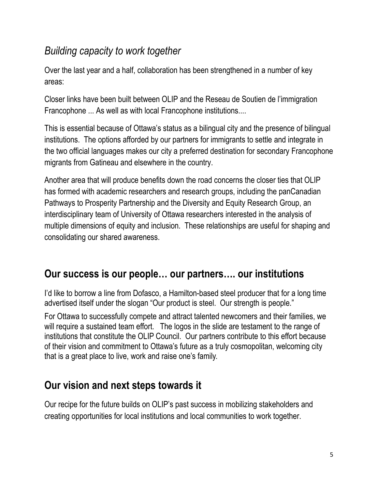## *Building capacity to work together*

Over the last year and a half, collaboration has been strengthened in a number of key areas:

Closer links have been built between OLIP and the Reseau de Soutien de l'immigration Francophone ... As well as with local Francophone institutions....

This is essential because of Ottawa's status as a bilingual city and the presence of bilingual institutions. The options afforded by our partners for immigrants to settle and integrate in the two official languages makes our city a preferred destination for secondary Francophone migrants from Gatineau and elsewhere in the country.

Another area that will produce benefits down the road concerns the closer ties that OLIP has formed with academic researchers and research groups, including the panCanadian Pathways to Prosperity Partnership and the Diversity and Equity Research Group, an interdisciplinary team of University of Ottawa researchers interested in the analysis of multiple dimensions of equity and inclusion. These relationships are useful for shaping and consolidating our shared awareness.

#### **Our success is our people… our partners…. our institutions**

I'd like to borrow a line from Dofasco, a Hamilton-based steel producer that for a long time advertised itself under the slogan "Our product is steel. Our strength is people."

For Ottawa to successfully compete and attract talented newcomers and their families, we will require a sustained team effort. The logos in the slide are testament to the range of institutions that constitute the OLIP Council. Our partners contribute to this effort because of their vision and commitment to Ottawa's future as a truly cosmopolitan, welcoming city that is a great place to live, work and raise one's family.

## **Our vision and next steps towards it**

Our recipe for the future builds on OLIP's past success in mobilizing stakeholders and creating opportunities for local institutions and local communities to work together.